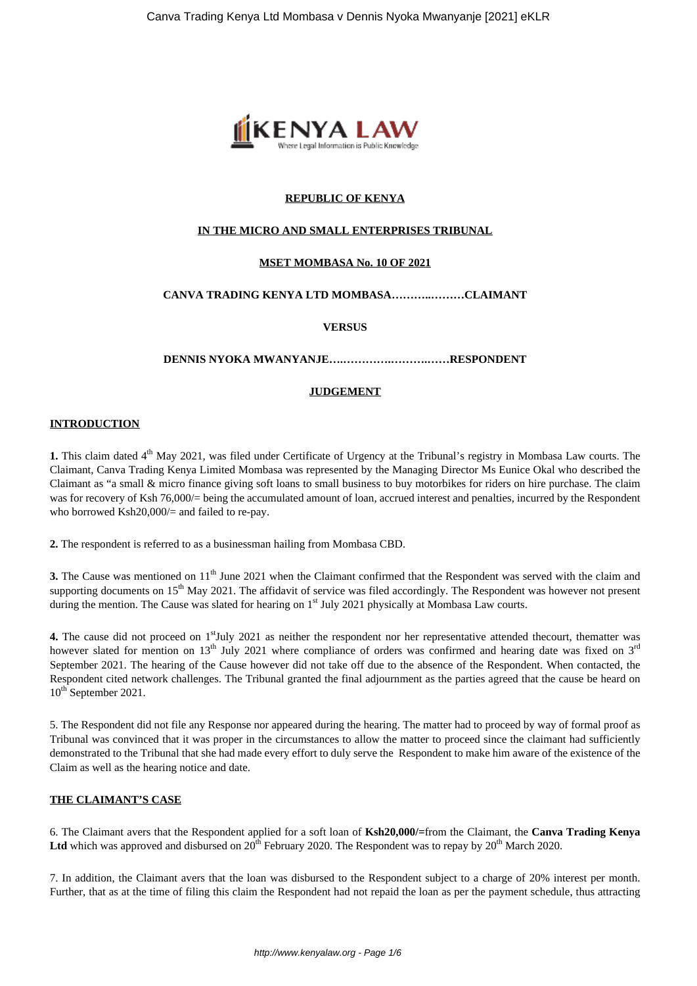

# **REPUBLIC OF KENYA**

#### **IN THE MICRO AND SMALL ENTERPRISES TRIBUNAL**

#### **MSET MOMBASA No. 10 OF 2021**

# **CANVA TRADING KENYA LTD MOMBASA………..………CLAIMANT**

#### **VERSUS**

**DENNIS NYOKA MWANYANJE….………….……….……RESPONDENT**

#### **JUDGEMENT**

#### **INTRODUCTION**

**1.** This claim dated 4<sup>th</sup> May 2021, was filed under Certificate of Urgency at the Tribunal's registry in Mombasa Law courts. The Claimant, Canva Trading Kenya Limited Mombasa was represented by the Managing Director Ms Eunice Okal who described the Claimant as "a small & micro finance giving soft loans to small business to buy motorbikes for riders on hire purchase. The claim was for recovery of Ksh 76,000/= being the accumulated amount of loan, accrued interest and penalties, incurred by the Respondent who borrowed Ksh20,000/= and failed to re-pay.

**2.** The respondent is referred to as a businessman hailing from Mombasa CBD.

**3.** The Cause was mentioned on 11<sup>th</sup> June 2021 when the Claimant confirmed that the Respondent was served with the claim and supporting documents on  $15<sup>th</sup>$  May 2021. The affidavit of service was filed accordingly. The Respondent was however not present during the mention. The Cause was slated for hearing on 1<sup>st</sup> July 2021 physically at Mombasa Law courts.

**4.** The cause did not proceed on 1<sup>st</sup>July 2021 as neither the respondent nor her representative attended thecourt, thematter was however slated for mention on 13<sup>th</sup> July 2021 where compliance of orders was confirmed and hearing date was fixed on  $3<sup>rd</sup>$ September 2021. The hearing of the Cause however did not take off due to the absence of the Respondent. When contacted, the Respondent cited network challenges. The Tribunal granted the final adjournment as the parties agreed that the cause be heard on 10<sup>th</sup> September 2021.

5. The Respondent did not file any Response nor appeared during the hearing. The matter had to proceed by way of formal proof as Tribunal was convinced that it was proper in the circumstances to allow the matter to proceed since the claimant had sufficiently demonstrated to the Tribunal that she had made every effort to duly serve the Respondent to make him aware of the existence of the Claim as well as the hearing notice and date.

## **THE CLAIMANT'S CASE**

6. The Claimant avers that the Respondent applied for a soft loan of **Ksh20,000/=**from the Claimant, the **Canva Trading Kenya** Ltd which was approved and disbursed on 20<sup>th</sup> February 2020. The Respondent was to repay by 20<sup>th</sup> March 2020.

7. In addition, the Claimant avers that the loan was disbursed to the Respondent subject to a charge of 20% interest per month. Further, that as at the time of filing this claim the Respondent had not repaid the loan as per the payment schedule, thus attracting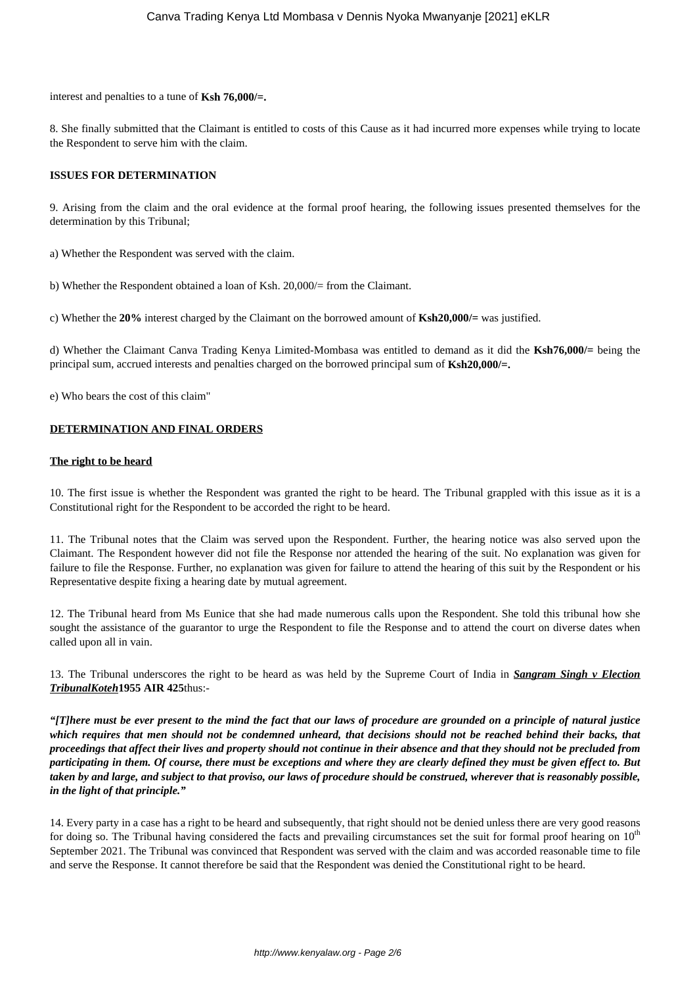interest and penalties to a tune of **Ksh 76,000/=.**

8. She finally submitted that the Claimant is entitled to costs of this Cause as it had incurred more expenses while trying to locate the Respondent to serve him with the claim.

# **ISSUES FOR DETERMINATION**

9. Arising from the claim and the oral evidence at the formal proof hearing, the following issues presented themselves for the determination by this Tribunal;

a) Whether the Respondent was served with the claim.

b) Whether the Respondent obtained a loan of Ksh. 20,000/= from the Claimant.

c) Whether the **20%** interest charged by the Claimant on the borrowed amount of **Ksh20,000/=** was justified.

d) Whether the Claimant Canva Trading Kenya Limited-Mombasa was entitled to demand as it did the **Ksh76,000/=** being the principal sum, accrued interests and penalties charged on the borrowed principal sum of **Ksh20,000/=.**

e) Who bears the cost of this claim"

## **DETERMINATION AND FINAL ORDERS**

#### **The right to be heard**

10. The first issue is whether the Respondent was granted the right to be heard. The Tribunal grappled with this issue as it is a Constitutional right for the Respondent to be accorded the right to be heard.

11. The Tribunal notes that the Claim was served upon the Respondent. Further, the hearing notice was also served upon the Claimant. The Respondent however did not file the Response nor attended the hearing of the suit. No explanation was given for failure to file the Response. Further, no explanation was given for failure to attend the hearing of this suit by the Respondent or his Representative despite fixing a hearing date by mutual agreement.

12. The Tribunal heard from Ms Eunice that she had made numerous calls upon the Respondent. She told this tribunal how she sought the assistance of the guarantor to urge the Respondent to file the Response and to attend the court on diverse dates when called upon all in vain.

13. The Tribunal underscores the right to be heard as was held by the Supreme Court of India in *Sangram Singh v Election TribunalKoteh***1955 AIR 425**thus:-

*"[T]here must be ever present to the mind the fact that our laws of procedure are grounded on a principle of natural justice which requires that men should not be condemned unheard, that decisions should not be reached behind their backs, that proceedings that affect their lives and property should not continue in their absence and that they should not be precluded from participating in them. Of course, there must be exceptions and where they are clearly defined they must be given effect to. But taken by and large, and subject to that proviso, our laws of procedure should be construed, wherever that is reasonably possible, in the light of that principle."*

14. Every party in a case has a right to be heard and subsequently, that right should not be denied unless there are very good reasons for doing so. The Tribunal having considered the facts and prevailing circumstances set the suit for formal proof hearing on 10<sup>th</sup> September 2021. The Tribunal was convinced that Respondent was served with the claim and was accorded reasonable time to file and serve the Response. It cannot therefore be said that the Respondent was denied the Constitutional right to be heard.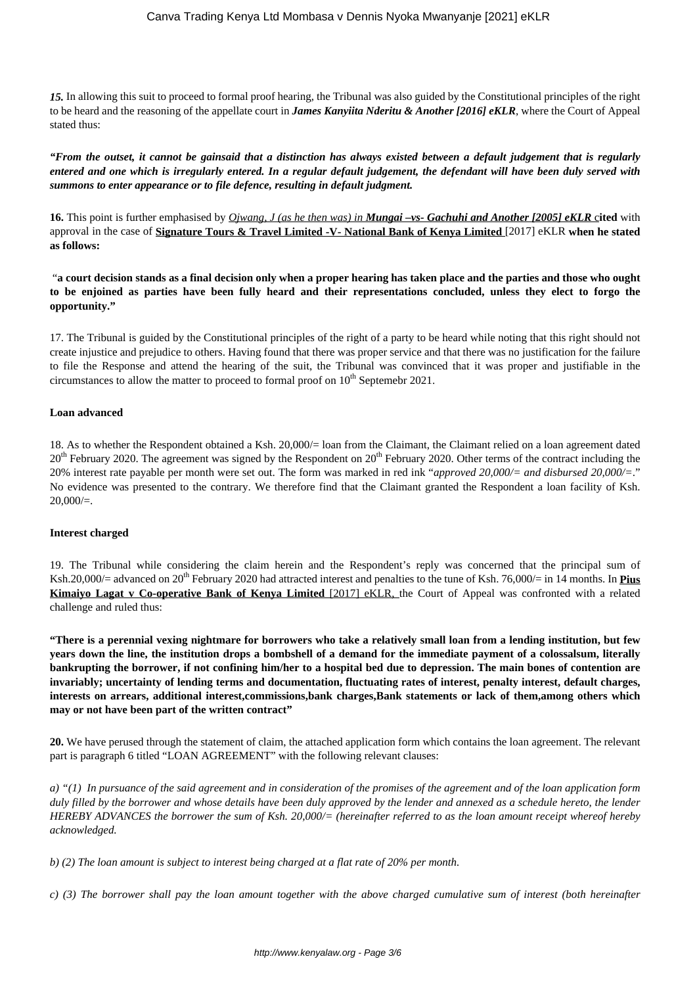*15.* In allowing this suit to proceed to formal proof hearing, the Tribunal was also guided by the Constitutional principles of the right to be heard and the reasoning of the appellate court in *James Kanyiita Nderitu & Another [2016] eKLR*, where the Court of Appeal stated thus:

*"From the outset, it cannot be gainsaid that a distinction has always existed between a default judgement that is regularly entered and one which is irregularly entered. In a regular default judgement, the defendant will have been duly served with summons to enter appearance or to file defence, resulting in default judgment.*

**16.** This point is further emphasised by *Ojwang, J (as he then was) in Mungai –vs- Gachuhi and Another [2005] eKLR* c**ited** with approval in the case of **Signature Tours & Travel Limited -V- National Bank of Kenya Limited** [2017] eKLR **when he stated as follows:** 

"**a court decision stands as a final decision only when a proper hearing has taken place and the parties and those who ought to be enjoined as parties have been fully heard and their representations concluded, unless they elect to forgo the opportunity."**

17. The Tribunal is guided by the Constitutional principles of the right of a party to be heard while noting that this right should not create injustice and prejudice to others. Having found that there was proper service and that there was no justification for the failure to file the Response and attend the hearing of the suit, the Tribunal was convinced that it was proper and justifiable in the circumstances to allow the matter to proceed to formal proof on  $10<sup>th</sup>$  Septemebr 2021.

## **Loan advanced**

18. As to whether the Respondent obtained a Ksh. 20,000/= loan from the Claimant, the Claimant relied on a loan agreement dated  $20<sup>th</sup>$  February 2020. The agreement was signed by the Respondent on  $20<sup>th</sup>$  February 2020. Other terms of the contract including the 20% interest rate payable per month were set out. The form was marked in red ink "*approved 20,000/= and disbursed 20,000/=*." No evidence was presented to the contrary. We therefore find that the Claimant granted the Respondent a loan facility of Ksh.  $20,000/=$ .

## **Interest charged**

19. The Tribunal while considering the claim herein and the Respondent's reply was concerned that the principal sum of Ksh.20,000/ $=$  advanced on 20<sup>th</sup> February 2020 had attracted interest and penalties to the tune of Ksh. 76,000/ $=$  in 14 months. In **Pius Kimaiyo Lagat v Co-operative Bank of Kenya Limited** [2017] eKLR, the Court of Appeal was confronted with a related challenge and ruled thus:

**"There is a perennial vexing nightmare for borrowers who take a relatively small loan from a lending institution, but few years down the line, the institution drops a bombshell of a demand for the immediate payment of a colossalsum, literally bankrupting the borrower, if not confining him/her to a hospital bed due to depression. The main bones of contention are invariably; uncertainty of lending terms and documentation, fluctuating rates of interest, penalty interest, default charges, interests on arrears, additional interest,commissions,bank charges,Bank statements or lack of them,among others which may or not have been part of the written contract"**

**20.** We have perused through the statement of claim, the attached application form which contains the loan agreement. The relevant part is paragraph 6 titled "LOAN AGREEMENT" with the following relevant clauses:

*a) "(1) In pursuance of the said agreement and in consideration of the promises of the agreement and of the loan application form duly filled by the borrower and whose details have been duly approved by the lender and annexed as a schedule hereto, the lender HEREBY ADVANCES the borrower the sum of Ksh. 20,000/= (hereinafter referred to as the loan amount receipt whereof hereby acknowledged.*

*b) (2) The loan amount is subject to interest being charged at a flat rate of 20% per month.* 

*c) (3) The borrower shall pay the loan amount together with the above charged cumulative sum of interest (both hereinafter*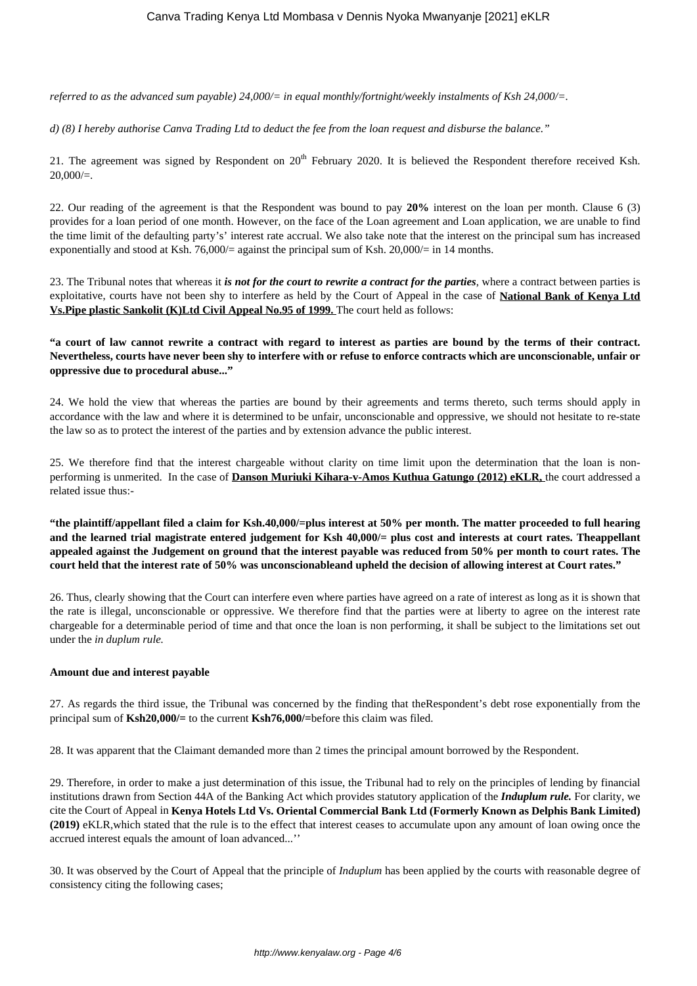*referred to as the advanced sum payable) 24,000/= in equal monthly/fortnight/weekly instalments of Ksh 24,000/=.* 

*d) (8) I hereby authorise Canva Trading Ltd to deduct the fee from the loan request and disburse the balance."* 

21. The agreement was signed by Respondent on  $20^{th}$  February 2020. It is believed the Respondent therefore received Ksh.  $20,000/=$ .

22. Our reading of the agreement is that the Respondent was bound to pay **20%** interest on the loan per month. Clause 6 (3) provides for a loan period of one month. However, on the face of the Loan agreement and Loan application, we are unable to find the time limit of the defaulting party's' interest rate accrual. We also take note that the interest on the principal sum has increased exponentially and stood at Ksh. 76,000/= against the principal sum of Ksh.  $20,000/=$  in 14 months.

23. The Tribunal notes that whereas it *is not for the court to rewrite a contract for the parties*, where a contract between parties is exploitative, courts have not been shy to interfere as held by the Court of Appeal in the case of **National Bank of Kenya Ltd Vs.Pipe plastic Sankolit (K)Ltd Civil Appeal No.95 of 1999.** The court held as follows:

**"a court of law cannot rewrite a contract with regard to interest as parties are bound by the terms of their contract. Nevertheless, courts have never been shy to interfere with or refuse to enforce contracts which are unconscionable, unfair or oppressive due to procedural abuse..."**

24. We hold the view that whereas the parties are bound by their agreements and terms thereto, such terms should apply in accordance with the law and where it is determined to be unfair, unconscionable and oppressive, we should not hesitate to re-state the law so as to protect the interest of the parties and by extension advance the public interest.

25. We therefore find that the interest chargeable without clarity on time limit upon the determination that the loan is nonperforming is unmerited. In the case of **Danson Muriuki Kihara-v-Amos Kuthua Gatungo (2012) eKLR,** the court addressed a related issue thus:-

**"the plaintiff/appellant filed a claim for Ksh.40,000/=plus interest at 50% per month. The matter proceeded to full hearing and the learned trial magistrate entered judgement for Ksh 40,000/= plus cost and interests at court rates. Theappellant appealed against the Judgement on ground that the interest payable was reduced from 50% per month to court rates. The court held that the interest rate of 50% was unconscionableand upheld the decision of allowing interest at Court rates."**

26. Thus, clearly showing that the Court can interfere even where parties have agreed on a rate of interest as long as it is shown that the rate is illegal, unconscionable or oppressive. We therefore find that the parties were at liberty to agree on the interest rate chargeable for a determinable period of time and that once the loan is non performing, it shall be subject to the limitations set out under the *in duplum rule.* 

## **Amount due and interest payable**

27. As regards the third issue, the Tribunal was concerned by the finding that theRespondent's debt rose exponentially from the principal sum of **Ksh20,000/=** to the current **Ksh76,000/=**before this claim was filed.

28. It was apparent that the Claimant demanded more than 2 times the principal amount borrowed by the Respondent.

29. Therefore, in order to make a just determination of this issue, the Tribunal had to rely on the principles of lending by financial institutions drawn from Section 44A of the Banking Act which provides statutory application of the *Induplum rule.* For clarity, we cite the Court of Appeal in **Kenya Hotels Ltd Vs. Oriental Commercial Bank Ltd (Formerly Known as Delphis Bank Limited) (2019)** eKLR,which stated that the rule is to the effect that interest ceases to accumulate upon any amount of loan owing once the accrued interest equals the amount of loan advanced...''

30. It was observed by the Court of Appeal that the principle of *Induplum* has been applied by the courts with reasonable degree of consistency citing the following cases;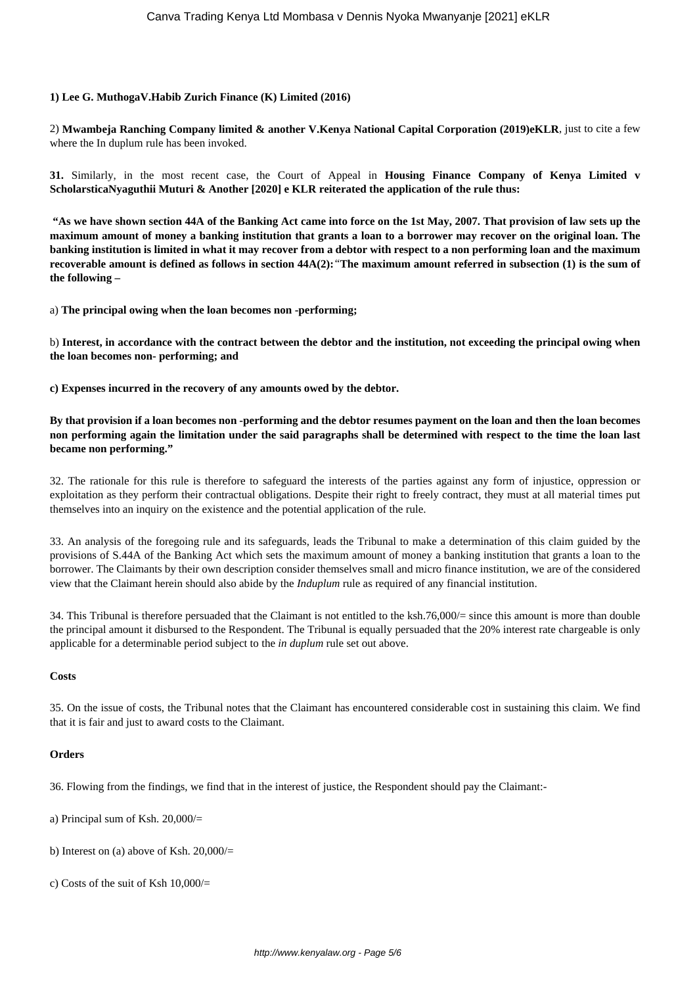# **1) Lee G. MuthogaV.Habib Zurich Finance (K) Limited (2016)**

2) **Mwambeja Ranching Company limited & another V.Kenya National Capital Corporation (2019)eKLR**, just to cite a few where the In duplum rule has been invoked.

**31.** Similarly, in the most recent case, the Court of Appeal in **Housing Finance Company of Kenya Limited v ScholarsticaNyaguthii Muturi & Another [2020] e KLR reiterated the application of the rule thus:** 

**"As we have shown section 44A of the Banking Act came into force on the 1st May, 2007. That provision of law sets up the maximum amount of money a banking institution that grants a loan to a borrower may recover on the original loan. The banking institution is limited in what it may recover from a debtor with respect to a non performing loan and the maximum recoverable amount is defined as follows in section 44A(2):***"***The maximum amount referred in subsection (1) is the sum of the following –**

a) **The principal owing when the loan becomes non -performing;**

b) **Interest, in accordance with the contract between the debtor and the institution, not exceeding the principal owing when the loan becomes non- performing; and**

**c) Expenses incurred in the recovery of any amounts owed by the debtor.**

**By that provision if a loan becomes non -performing and the debtor resumes payment on the loan and then the loan becomes non performing again the limitation under the said paragraphs shall be determined with respect to the time the loan last became non performing."**

32. The rationale for this rule is therefore to safeguard the interests of the parties against any form of injustice, oppression or exploitation as they perform their contractual obligations. Despite their right to freely contract, they must at all material times put themselves into an inquiry on the existence and the potential application of the rule.

33. An analysis of the foregoing rule and its safeguards, leads the Tribunal to make a determination of this claim guided by the provisions of S.44A of the Banking Act which sets the maximum amount of money a banking institution that grants a loan to the borrower. The Claimants by their own description consider themselves small and micro finance institution, we are of the considered view that the Claimant herein should also abide by the *Induplum* rule as required of any financial institution.

34. This Tribunal is therefore persuaded that the Claimant is not entitled to the ksh.76,000 $/$ = since this amount is more than double the principal amount it disbursed to the Respondent. The Tribunal is equally persuaded that the 20% interest rate chargeable is only applicable for a determinable period subject to the *in duplum* rule set out above.

## **Costs**

35. On the issue of costs, the Tribunal notes that the Claimant has encountered considerable cost in sustaining this claim. We find that it is fair and just to award costs to the Claimant.

## **Orders**

36. Flowing from the findings, we find that in the interest of justice, the Respondent should pay the Claimant:-

- a) Principal sum of Ksh. 20,000/=
- b) Interest on (a) above of Ksh.  $20,000/$
- c) Costs of the suit of Ksh 10,000/=